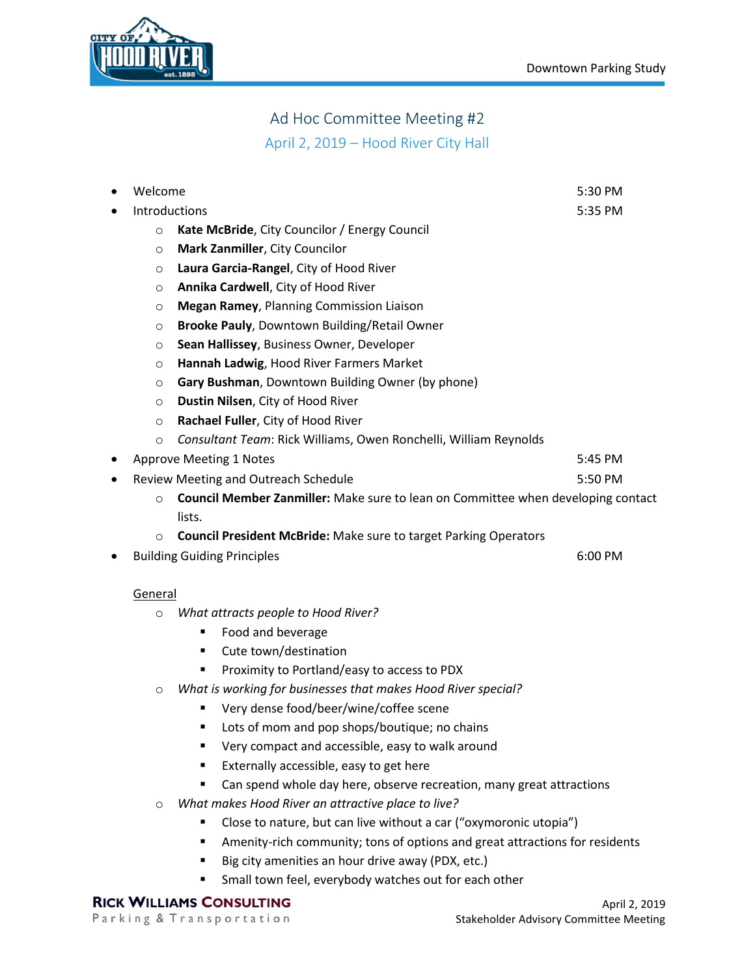

# Ad Hoc Committee Meeting #2

April 2, 2019 – Hood River City Hall

|                                                                                             | Welcome                                                                          |                                                                           | 5:30 PM |
|---------------------------------------------------------------------------------------------|----------------------------------------------------------------------------------|---------------------------------------------------------------------------|---------|
|                                                                                             | Introductions                                                                    |                                                                           | 5:35 PM |
|                                                                                             | $\circ$                                                                          | Kate McBride, City Councilor / Energy Council                             |         |
|                                                                                             | $\circ$                                                                          | Mark Zanmiller, City Councilor                                            |         |
|                                                                                             | Laura Garcia-Rangel, City of Hood River<br>$\circ$                               |                                                                           |         |
|                                                                                             | O                                                                                | Annika Cardwell, City of Hood River                                       |         |
|                                                                                             | O                                                                                | <b>Megan Ramey, Planning Commission Liaison</b>                           |         |
|                                                                                             | O                                                                                | Brooke Pauly, Downtown Building/Retail Owner                              |         |
|                                                                                             | O                                                                                | Sean Hallissey, Business Owner, Developer                                 |         |
|                                                                                             | O                                                                                | Hannah Ladwig, Hood River Farmers Market                                  |         |
| Gary Bushman, Downtown Building Owner (by phone)<br>O                                       |                                                                                  |                                                                           |         |
| Dustin Nilsen, City of Hood River<br>$\circ$                                                |                                                                                  |                                                                           |         |
|                                                                                             | $\circ$                                                                          | Rachael Fuller, City of Hood River                                        |         |
|                                                                                             | $\circ$                                                                          | Consultant Team: Rick Williams, Owen Ronchelli, William Reynolds          |         |
|                                                                                             |                                                                                  | <b>Approve Meeting 1 Notes</b>                                            | 5:45 PM |
|                                                                                             |                                                                                  | Review Meeting and Outreach Schedule                                      | 5:50 PM |
| Council Member Zanmiller: Make sure to lean on Committee when developing contact<br>$\circ$ |                                                                                  |                                                                           |         |
|                                                                                             |                                                                                  | lists.                                                                    |         |
|                                                                                             | $\Omega$                                                                         | <b>Council President McBride: Make sure to target Parking Operators</b>   |         |
|                                                                                             |                                                                                  | <b>Building Guiding Principles</b>                                        | 6:00 PM |
|                                                                                             |                                                                                  |                                                                           |         |
|                                                                                             | General                                                                          |                                                                           |         |
|                                                                                             | O                                                                                | What attracts people to Hood River?                                       |         |
|                                                                                             |                                                                                  | Food and beverage<br>п                                                    |         |
|                                                                                             |                                                                                  | Cute town/destination<br>٠                                                |         |
|                                                                                             |                                                                                  | Proximity to Portland/easy to access to PDX                               |         |
| What is working for businesses that makes Hood River special?<br>$\circ$                    |                                                                                  |                                                                           |         |
|                                                                                             |                                                                                  | Very dense food/beer/wine/coffee scene                                    |         |
|                                                                                             |                                                                                  | Lots of mom and pop shops/boutique; no chains<br>٠                        |         |
|                                                                                             |                                                                                  | Very compact and accessible, easy to walk around                          |         |
|                                                                                             |                                                                                  | Externally accessible, easy to get here                                   |         |
|                                                                                             |                                                                                  | Can spend whole day here, observe recreation, many great attractions<br>٠ |         |
|                                                                                             | What makes Hood River an attractive place to live?<br>$\circ$                    |                                                                           |         |
|                                                                                             |                                                                                  | Close to nature, but can live without a car ("oxymoronic utopia")         |         |
|                                                                                             | Amenity-rich community; tons of options and great attractions for residents<br>٠ |                                                                           |         |
|                                                                                             |                                                                                  | Big city amenities an hour drive away (PDX, etc.)<br>٠                    |         |
|                                                                                             |                                                                                  | Small town feel, everybody watches out for each other<br>п                |         |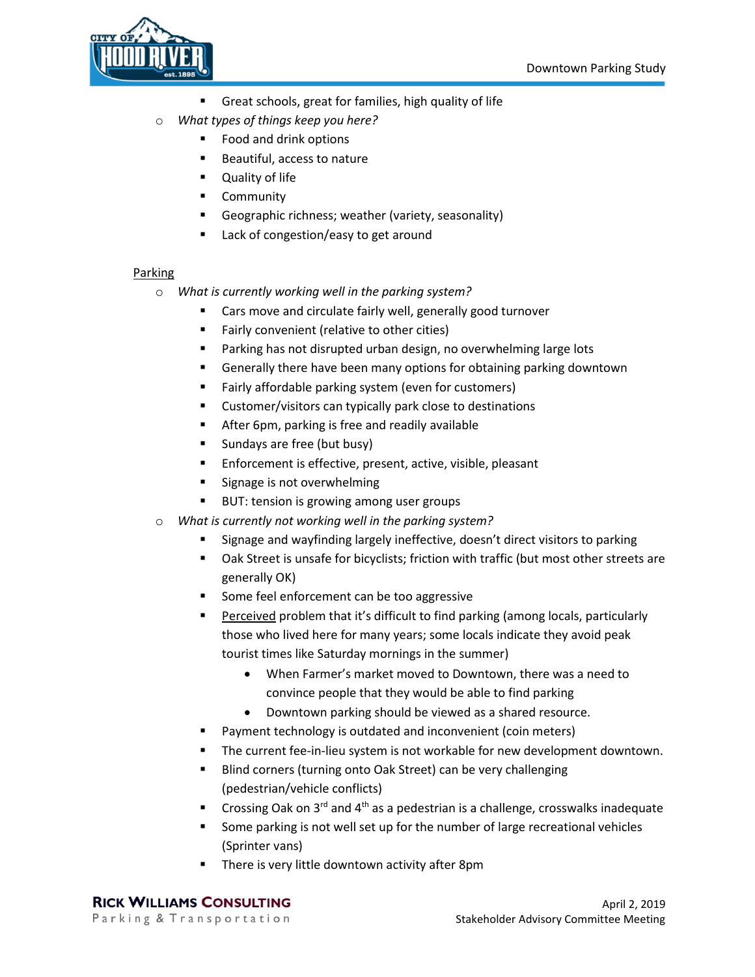

- Great schools, great for families, high quality of life
- o *What types of things keep you here?* 
	- Food and drink options
	- Beautiful, access to nature
	- Quality of life
	- Community
	- Geographic richness; weather (variety, seasonality)
	- Lack of congestion/easy to get around

#### Parking

- o *What is currently working well in the parking system?* 
	- Cars move and circulate fairly well, generally good turnover
	- Fairly convenient (relative to other cities)
	- Parking has not disrupted urban design, no overwhelming large lots
	- Generally there have been many options for obtaining parking downtown
	- Fairly affordable parking system (even for customers)
	- Customer/visitors can typically park close to destinations
	- After 6pm, parking is free and readily available
	- Sundays are free (but busy)
	- Enforcement is effective, present, active, visible, pleasant
	- Signage is not overwhelming
	- BUT: tension is growing among user groups
- o *What is currently not working well in the parking system?* 
	- Signage and wayfinding largely ineffective, doesn't direct visitors to parking
	- Oak Street is unsafe for bicyclists; friction with traffic (but most other streets are generally OK)
	- Some feel enforcement can be too aggressive
	- Perceived problem that it's difficult to find parking (among locals, particularly those who lived here for many years; some locals indicate they avoid peak tourist times like Saturday mornings in the summer)
		- When Farmer's market moved to Downtown, there was a need to convince people that they would be able to find parking
		- Downtown parking should be viewed as a shared resource.
	- Payment technology is outdated and inconvenient (coin meters)
	- The current fee-in-lieu system is not workable for new development downtown.
	- Blind corners (turning onto Oak Street) can be very challenging (pedestrian/vehicle conflicts)
	- Crossing Oak on  $3^{rd}$  and  $4^{th}$  as a pedestrian is a challenge, crosswalks inadequate
	- Some parking is not well set up for the number of large recreational vehicles (Sprinter vans)
	- There is very little downtown activity after 8pm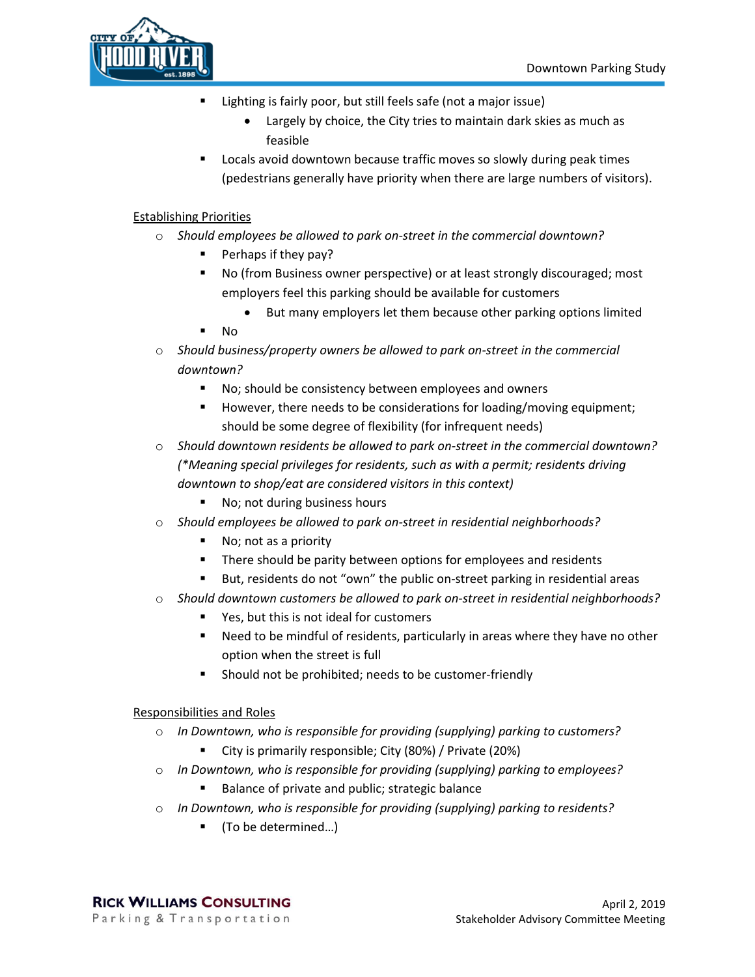

- Lighting is fairly poor, but still feels safe (not a major issue)
	- Largely by choice, the City tries to maintain dark skies as much as feasible
- Locals avoid downtown because traffic moves so slowly during peak times (pedestrians generally have priority when there are large numbers of visitors).

## Establishing Priorities

- o *Should employees be allowed to park on-street in the commercial downtown?*
	- Perhaps if they pay?
	- No (from Business owner perspective) or at least strongly discouraged; most employers feel this parking should be available for customers
		- But many employers let them because other parking options limited
	- No.
- o *Should business/property owners be allowed to park on-street in the commercial downtown?*
	- No; should be consistency between employees and owners
	- However, there needs to be considerations for loading/moving equipment; should be some degree of flexibility (for infrequent needs)
- o *Should downtown residents be allowed to park on-street in the commercial downtown? (\*Meaning special privileges for residents, such as with a permit; residents driving downtown to shop/eat are considered visitors in this context)*
	- No; not during business hours
- o *Should employees be allowed to park on-street in residential neighborhoods?*
	- No; not as a priority
	- There should be parity between options for employees and residents
	- But, residents do not "own" the public on-street parking in residential areas
- o *Should downtown customers be allowed to park on-street in residential neighborhoods?*
	- Yes, but this is not ideal for customers
	- Need to be mindful of residents, particularly in areas where they have no other option when the street is full
	- Should not be prohibited; needs to be customer-friendly

### Responsibilities and Roles

- o *In Downtown, who is responsible for providing (supplying) parking to customers?*
	- City is primarily responsible; City (80%) / Private (20%)
- o *In Downtown, who is responsible for providing (supplying) parking to employees?*
	- Balance of private and public; strategic balance
- o *In Downtown, who is responsible for providing (supplying) parking to residents?*
	- (To be determined...)